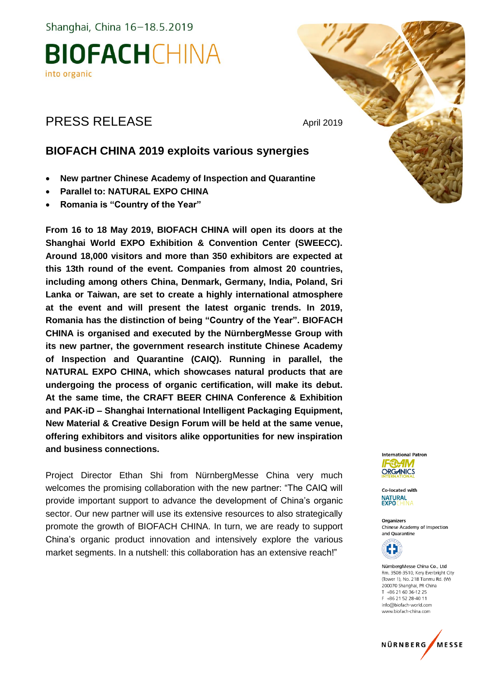Shanghai, China 16-18.5.2019

### **BIOFACHCHINA** into organic

### PRESS RELEASE April 2019

### **BIOFACH CHINA 2019 exploits various synergies**

- **New partner Chinese Academy of Inspection and Quarantine**
- **Parallel to: NATURAL EXPO CHINA**
- **Romania is "Country of the Year"**

**From 16 to 18 May 2019, BIOFACH CHINA will open its doors at the Shanghai World EXPO Exhibition & Convention Center (SWEECC). Around 18,000 visitors and more than 350 exhibitors are expected at this 13th round of the event. Companies from almost 20 countries, including among others China, Denmark, Germany, India, Poland, Sri Lanka or Taiwan, are set to create a highly international atmosphere at the event and will present the latest organic trends. In 2019, Romania has the distinction of being "Country of the Year". BIOFACH CHINA is organised and executed by the NürnbergMesse Group with its new partner, the government research institute Chinese Academy of Inspection and Quarantine (CAIQ). Running in parallel, the NATURAL EXPO CHINA, which showcases natural products that are undergoing the process of organic certification, will make its debut. At the same time, the CRAFT BEER CHINA Conference & Exhibition and PAK-iD – Shanghai International Intelligent Packaging Equipment, New Material & Creative Design Forum will be held at the same venue, offering exhibitors and visitors alike opportunities for new inspiration and business connections.** 

Project Director Ethan Shi from NürnbergMesse China very much welcomes the promising collaboration with the new partner: "The CAIQ will provide important support to advance the development of China's organic sector. Our new partner will use its extensive resources to also strategically promote the growth of BIOFACH CHINA. In turn, we are ready to support China's organic product innovation and intensively explore the various market segments. In a nutshell: this collaboration has an extensive reach!"



Co-located with **NATURAL**<br>EXPOCHIM

**Organizers** Chinese Academy of Inspection and Quarantine



NürnbergMesse China Co., Ltd. Rm. 3508-3510. Kery Everbright City (Tower 1), No. 218 Tianmu Rd. (W) 200070 Shanghai, PR China T +86 21 60 36-12 25 F +86 21 52 28-40 11 info@biofach-world.com www.biofach-china.com

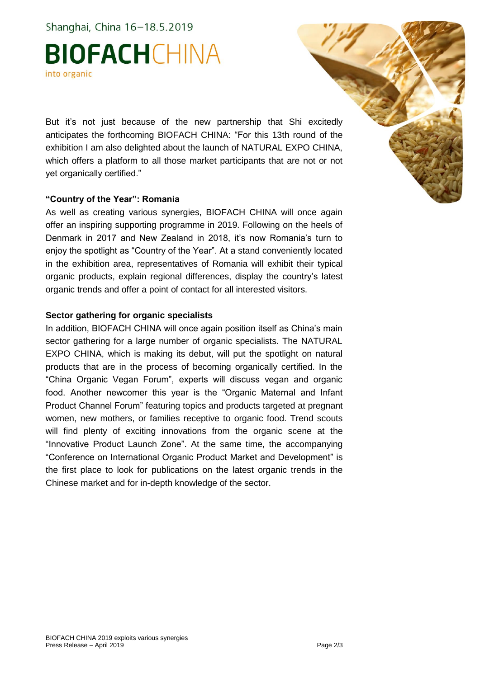Shanghai, China 16-18.5.2019

# **BIOFACHCHINA** into organic

But it's not just because of the new partnership that Shi excitedly anticipates the forthcoming BIOFACH CHINA: "For this 13th round of the exhibition I am also delighted about the launch of NATURAL EXPO CHINA, which offers a platform to all those market participants that are not or not yet organically certified."

#### **"Country of the Year": Romania**

As well as creating various synergies, BIOFACH CHINA will once again offer an inspiring supporting programme in 2019. Following on the heels of Denmark in 2017 and New Zealand in 2018, it's now Romania's turn to enjoy the spotlight as "Country of the Year". At a stand conveniently located in the exhibition area, representatives of Romania will exhibit their typical organic products, explain regional differences, display the country's latest organic trends and offer a point of contact for all interested visitors.

#### **Sector gathering for organic specialists**

In addition, BIOFACH CHINA will once again position itself as China's main sector gathering for a large number of organic specialists. The NATURAL EXPO CHINA, which is making its debut, will put the spotlight on natural products that are in the process of becoming organically certified. In the "China Organic Vegan Forum", experts will discuss vegan and organic food. Another newcomer this year is the "Organic Maternal and Infant Product Channel Forum" featuring topics and products targeted at pregnant women, new mothers, or families receptive to organic food. Trend scouts will find plenty of exciting innovations from the organic scene at the "Innovative Product Launch Zone". At the same time, the accompanying "Conference on International Organic Product Market and Development" is the first place to look for publications on the latest organic trends in the Chinese market and for in-depth knowledge of the sector.